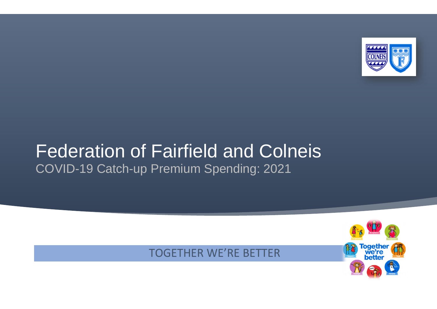

# Federation of Fairfield and Colneis COVID-19 Catch-up Premium Spending: 2021

#### TOGETHER WE'RE BETTER

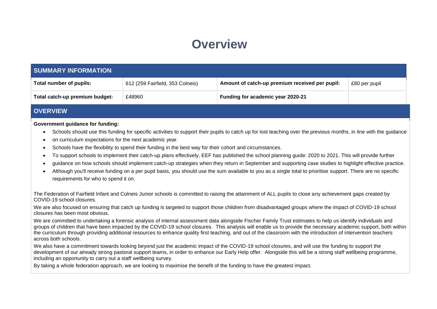#### **Overview**

| <b>SUMMARY INFORMATION</b>                                                                                                                                                                                                                                                                                                                                                                                                                                                                                                                                                                                                                                                                                                                                                                                                                                                                                                                                                                   |                                  |                                                |               |  |  |
|----------------------------------------------------------------------------------------------------------------------------------------------------------------------------------------------------------------------------------------------------------------------------------------------------------------------------------------------------------------------------------------------------------------------------------------------------------------------------------------------------------------------------------------------------------------------------------------------------------------------------------------------------------------------------------------------------------------------------------------------------------------------------------------------------------------------------------------------------------------------------------------------------------------------------------------------------------------------------------------------|----------------------------------|------------------------------------------------|---------------|--|--|
| Total number of pupils:                                                                                                                                                                                                                                                                                                                                                                                                                                                                                                                                                                                                                                                                                                                                                                                                                                                                                                                                                                      | 612 (259 Fairfield, 353 Colneis) | Amount of catch-up premium received per pupil: | £80 per pupil |  |  |
| Total catch-up premium budget:                                                                                                                                                                                                                                                                                                                                                                                                                                                                                                                                                                                                                                                                                                                                                                                                                                                                                                                                                               | £48960                           | Funding for academic year 2020-21              |               |  |  |
| <b>OVERVIEW</b>                                                                                                                                                                                                                                                                                                                                                                                                                                                                                                                                                                                                                                                                                                                                                                                                                                                                                                                                                                              |                                  |                                                |               |  |  |
| <b>Government guidance for funding:</b><br>Schools should use this funding for specific activities to support their pupils to catch up for lost teaching over the previous months, in line with the guidance<br>$\bullet$<br>on curriculum expectations for the next academic year.<br>$\bullet$<br>Schools have the flexibility to spend their funding in the best way for their cohort and circumstances.<br>$\bullet$<br>To support schools to implement their catch-up plans effectively, EEF has published the school planning guide: 2020 to 2021. This will provide further<br>$\bullet$<br>guidance on how schools should implement catch-up strategies when they return in September and supporting case studies to highlight effective practice.<br>$\bullet$<br>Although you'll receive funding on a per pupil basis, you should use the sum available to you as a single total to prioritise support. There are no specific<br>$\bullet$<br>requirements for who to spend it on. |                                  |                                                |               |  |  |
| The Federation of Fairfield Infant and Colneis Junior schools is committed to raising the attainment of ALL pupils to close any achievement gaps created by<br>COVID-19 school closures.                                                                                                                                                                                                                                                                                                                                                                                                                                                                                                                                                                                                                                                                                                                                                                                                     |                                  |                                                |               |  |  |
| We are also focused on ensuring that catch up funding is targeted to support those children from disadvantaged groups where the impact of COVID-19 school<br>closures has been most obvious.                                                                                                                                                                                                                                                                                                                                                                                                                                                                                                                                                                                                                                                                                                                                                                                                 |                                  |                                                |               |  |  |

We are committed to undertaking a forensic analysis of internal assessment data alongside Fischer Family Trust estimates to help us identify individuals and groups of children that have been impacted by the COVID-19 school closures. This analysis will enable us to provide the necessary academic support, both within the curriculum through providing additional resources to enhance quality first teaching, and out of the classroom with the introduction of intervention teachers across both schools.

We also have a commitment towards looking beyond just the academic impact of the COVID-19 school closures, and will use the funding to support the development of our already strong pastoral support teams, in order to enhance our Early Help offer. Alongside this will be a strong staff wellbeing programme, including an opportunity to carry out a staff wellbeing survey.

By taking a whole federation approach, we are looking to maximise the benefit of the funding to have the greatest impact.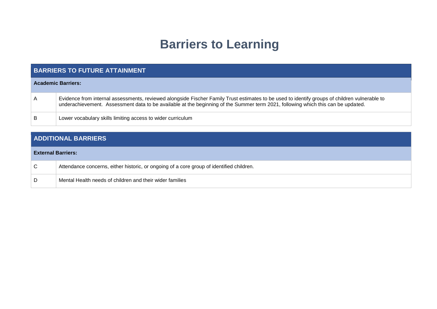## **Barriers to Learning**

| <b>BARRIERS TO FUTURE ATTAINMENT</b> |                                                                                                                                                                                                                                                                                   |  |  |
|--------------------------------------|-----------------------------------------------------------------------------------------------------------------------------------------------------------------------------------------------------------------------------------------------------------------------------------|--|--|
|                                      | <b>Academic Barriers:</b>                                                                                                                                                                                                                                                         |  |  |
| A                                    | Evidence from internal assessments, reviewed alongside Fischer Family Trust estimates to be used to identify groups of children vulnerable to<br>underachievement. Assessment data to be available at the beginning of the Summer term 2021, following which this can be updated. |  |  |
| B                                    | Lower vocabulary skills limiting access to wider curriculum                                                                                                                                                                                                                       |  |  |

| <b>ADDITIONAL BARRIERS</b> |                                                                                          |  |  |
|----------------------------|------------------------------------------------------------------------------------------|--|--|
| <b>External Barriers:</b>  |                                                                                          |  |  |
| C                          | Attendance concerns, either historic, or ongoing of a core group of identified children. |  |  |
| D                          | Mental Health needs of children and their wider families                                 |  |  |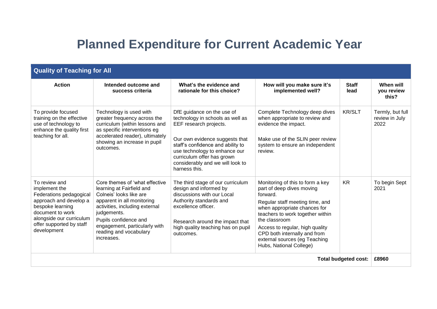### **Planned Expenditure for Current Academic Year**

| <b>Quality of Teaching for All</b>                                                                                                                                                                 |                                                                                                                                                                                                                                                                         |                                                                                                                                                                                                                                                                                     |                                                                                                                                                                                                                                                                                                                                  |                      |                                            |  |
|----------------------------------------------------------------------------------------------------------------------------------------------------------------------------------------------------|-------------------------------------------------------------------------------------------------------------------------------------------------------------------------------------------------------------------------------------------------------------------------|-------------------------------------------------------------------------------------------------------------------------------------------------------------------------------------------------------------------------------------------------------------------------------------|----------------------------------------------------------------------------------------------------------------------------------------------------------------------------------------------------------------------------------------------------------------------------------------------------------------------------------|----------------------|--------------------------------------------|--|
| <b>Action</b>                                                                                                                                                                                      | Intended outcome and<br>success criteria                                                                                                                                                                                                                                | What's the evidence and<br>rationale for this choice?                                                                                                                                                                                                                               | How will you make sure it's<br>implemented well?                                                                                                                                                                                                                                                                                 | <b>Staff</b><br>lead | When will<br>you review<br>this?           |  |
| To provide focused<br>training on the effective<br>use of technology to<br>enhance the quality first<br>teaching for all.                                                                          | Technology is used with<br>greater frequency across the<br>curriculum (within lessons and<br>as specific interventions eg<br>accelerated reader), ultimately<br>showing an increase in pupil<br>outcomes.                                                               | DfE guidance on the use of<br>technology in schools as well as<br>EEF research projects.<br>Our own evidence suggests that<br>staff's confidence and ability to<br>use technology to enhance our<br>curriculum offer has grown<br>considerably and we will look to<br>harness this. | Complete Technology deep dives<br>when appropriate to review and<br>evidence the impact.<br>Make use of the SLIN peer review<br>system to ensure an independent<br>review.                                                                                                                                                       | <b>KR/SLT</b>        | Termly, but full<br>review in July<br>2022 |  |
| To review and<br>implement the<br>Federations pedagogical<br>approach and develop a<br>bespoke learning<br>document to work<br>alongside our curriculum<br>offer supported by staff<br>development | Core themes of 'what effective<br>learning at Fairfield and<br>Colneis' looks like are<br>apparent in all monitoring<br>activities, including external<br>judgements.<br>Pupils confidence and<br>engagement, particularly with<br>reading and vocabulary<br>increases. | The third stage of our curriculum<br>design and informed by<br>discussions with our Local<br>Authority standards and<br>excellence officer.<br>Research around the impact that<br>high quality teaching has on pupil<br>outcomes.                                                   | Monitoring of this to form a key<br>part of deep dives moving<br>forward.<br>Regular staff meeting time, and<br>when appropriate chances for<br>teachers to work together within<br>the classroom<br>Access to regular, high quality<br>CPD both internally and from<br>external sources (eg Teaching<br>Hubs, National College) | <b>KR</b>            | To begin Sept<br>2021                      |  |
| <b>Total budgeted cost:</b>                                                                                                                                                                        |                                                                                                                                                                                                                                                                         |                                                                                                                                                                                                                                                                                     |                                                                                                                                                                                                                                                                                                                                  | £8960                |                                            |  |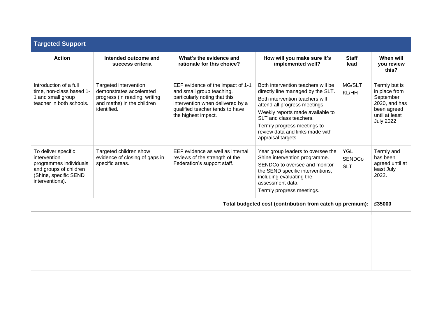| <b>Targeted Support</b>                                                                                                             |                                                                                                                                 |                                                                                                                                                                                               |                                                                                                                                                                                                                                                                                                    |                                           |                                                                                                                   |
|-------------------------------------------------------------------------------------------------------------------------------------|---------------------------------------------------------------------------------------------------------------------------------|-----------------------------------------------------------------------------------------------------------------------------------------------------------------------------------------------|----------------------------------------------------------------------------------------------------------------------------------------------------------------------------------------------------------------------------------------------------------------------------------------------------|-------------------------------------------|-------------------------------------------------------------------------------------------------------------------|
| <b>Action</b>                                                                                                                       | Intended outcome and<br>success criteria                                                                                        | What's the evidence and<br>rationale for this choice?                                                                                                                                         | How will you make sure it's<br>implemented well?                                                                                                                                                                                                                                                   | <b>Staff</b><br>lead                      | When will<br>you review<br>this?                                                                                  |
| Introduction of a full<br>time, non-class based 1-<br>1 and small group<br>teacher in both schools.                                 | Targeted intervention<br>demonstrates accelerated<br>progress (in reading, writing<br>and maths) in the children<br>identified. | EEF evidence of the impact of 1-1<br>and small group teaching,<br>particularly noting that this<br>intervention when delivered by a<br>qualified teacher tends to have<br>the highest impact. | Both intervention teachers will be<br>directly line managed by the SLT.<br>Both intervention teachers will<br>attend all progress meetings.<br>Weekly reports made available to<br>SLT and class teachers.<br>Termly progress meetings to<br>review data and links made with<br>appraisal targets. | MG/SLT<br>KL/HH                           | Termly but is<br>in place from<br>September<br>2020, and has<br>been agreed<br>until at least<br><b>July 2022</b> |
| To deliver specific<br>intervention<br>programmes individuals<br>and groups of children<br>(Shine, specific SEND<br>interventions). | Targeted children show<br>evidence of closing of gaps in<br>specific areas.                                                     | EEF evidence as well as internal<br>reviews of the strength of the<br>Federation's support staff.                                                                                             | Year group leaders to oversee the<br>Shine intervention programme.<br>SENDCo to oversee and monitor<br>the SEND specific interventions,<br>including evaluating the<br>assessment data.<br>Termly progress meetings.                                                                               | <b>YGL</b><br><b>SENDCo</b><br><b>SLT</b> | Termly and<br>has been<br>agreed until at<br>least July<br>2022.                                                  |
| Total budgeted cost (contribution from catch up premium):                                                                           |                                                                                                                                 |                                                                                                                                                                                               |                                                                                                                                                                                                                                                                                                    |                                           | £35000                                                                                                            |
|                                                                                                                                     |                                                                                                                                 |                                                                                                                                                                                               |                                                                                                                                                                                                                                                                                                    |                                           |                                                                                                                   |